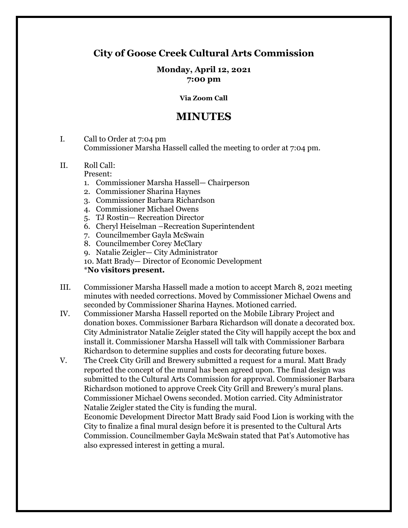# **City of Goose Creek Cultural Arts Commission**

### **Monday, April 12, 2021 7:00 pm**

#### **Via Zoom Call**

# **MINUTES**

- I. Call to Order at 7:04 pm Commissioner Marsha Hassell called the meeting to order at 7:04 pm.
- II. Roll Call:
	- Present:
	- 1. Commissioner Marsha Hassell— Chairperson
	- 2. Commissioner Sharina Haynes
	- 3. Commissioner Barbara Richardson
	- 4. Commissioner Michael Owens
	- 5. TJ Rostin— Recreation Director
	- 6. Cheryl Heiselman –Recreation Superintendent
	- 7. Councilmember Gayla McSwain
	- 8. Councilmember Corey McClary
	- 9. Natalie Zeigler— City Administrator
	- 10. Matt Brady— Director of Economic Development

### \***No visitors present.**

- III. Commissioner Marsha Hassell made a motion to accept March 8, 2021 meeting minutes with needed corrections. Moved by Commissioner Michael Owens and seconded by Commissioner Sharina Haynes. Motioned carried.
- IV. Commissioner Marsha Hassell reported on the Mobile Library Project and donation boxes. Commissioner Barbara Richardson will donate a decorated box. City Administrator Natalie Zeigler stated the City will happily accept the box and install it. Commissioner Marsha Hassell will talk with Commissioner Barbara Richardson to determine supplies and costs for decorating future boxes.
- V. The Creek City Grill and Brewery submitted a request for a mural. Matt Brady reported the concept of the mural has been agreed upon. The final design was submitted to the Cultural Arts Commission for approval. Commissioner Barbara Richardson motioned to approve Creek City Grill and Brewery's mural plans. Commissioner Michael Owens seconded. Motion carried. City Administrator Natalie Zeigler stated the City is funding the mural.

Economic Development Director Matt Brady said Food Lion is working with the City to finalize a final mural design before it is presented to the Cultural Arts Commission. Councilmember Gayla McSwain stated that Pat's Automotive has also expressed interest in getting a mural.